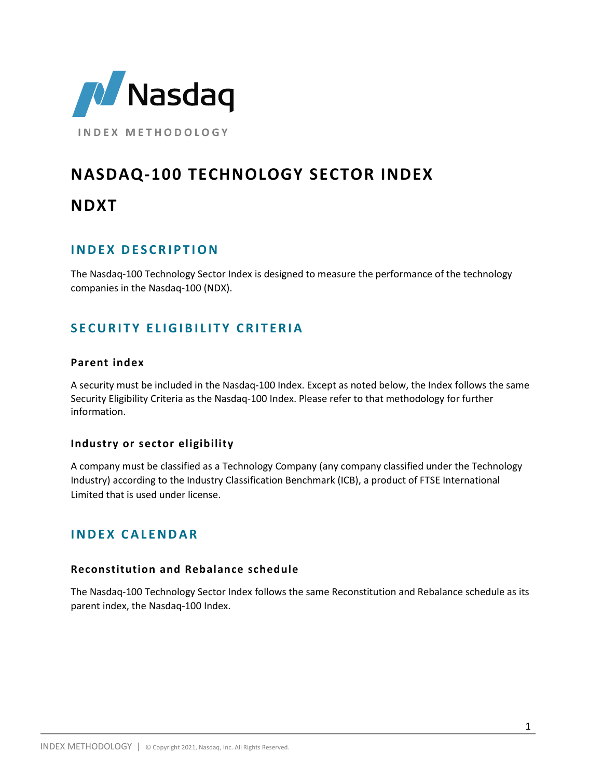

**I N D E X M E T H O D O L O G Y**

# **NASDAQ-100 TECHNOLOGY SECTOR INDEX**

## **NDXT**

## **I N D E X D E S C R I P T I O N**

The Nasdaq-100 Technology Sector Index is designed to measure the performance of the technology companies in the Nasdaq-100 (NDX).

## **SECURITY ELIGIBILITY CRITERIA**

## **Parent index**

A security must be included in the Nasdaq-100 Index. Except as noted below, the Index follows the same Security Eligibility Criteria as the Nasdaq-100 Index. Please refer to that methodology for further information.

## **Industry or sector eligibility**

A company must be classified as a Technology Company (any company classified under the Technology Industry) according to the Industry Classification Benchmark (ICB), a product of FTSE International Limited that is used under license.

## **I N D E X C A L E N D A R**

#### **Reconstitution and Rebalance schedule**

The Nasdaq-100 Technology Sector Index follows the same Reconstitution and Rebalance schedule as its parent index, the Nasdaq-100 Index.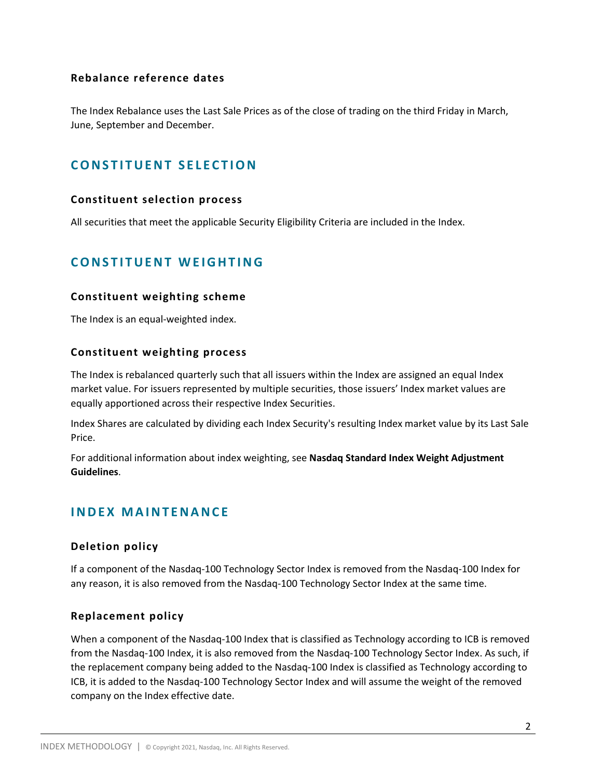## **Rebalance reference dates**

The Index Rebalance uses the Last Sale Prices as of the close of trading on the third Friday in March, June, September and December.

## **CONSTITUENT SELECTION**

#### **Constituent selection process**

All securities that meet the applicable Security Eligibility Criteria are included in the Index.

## **CONSTITUENT WEIGHTING**

#### **Constituent weighting scheme**

The Index is an equal-weighted index.

#### **Constituent weighting process**

The Index is rebalanced quarterly such that all issuers within the Index are assigned an equal Index market value. For issuers represented by multiple securities, those issuers' Index market values are equally apportioned across their respective Index Securities.

Index Shares are calculated by dividing each Index Security's resulting Index market value by its Last Sale Price.

For additional information about index weighting, see **Nasdaq Standard Index Weight Adjustment Guidelines**.

## **I N D E X M A I N T E N A N C E**

## **Deletion policy**

If a component of the Nasdaq-100 Technology Sector Index is removed from the Nasdaq-100 Index for any reason, it is also removed from the Nasdaq-100 Technology Sector Index at the same time.

## **Replacement policy**

When a component of the Nasdaq-100 Index that is classified as Technology according to ICB is removed from the Nasdaq-100 Index, it is also removed from the Nasdaq-100 Technology Sector Index. As such, if the replacement company being added to the Nasdaq-100 Index is classified as Technology according to ICB, it is added to the Nasdaq-100 Technology Sector Index and will assume the weight of the removed company on the Index effective date.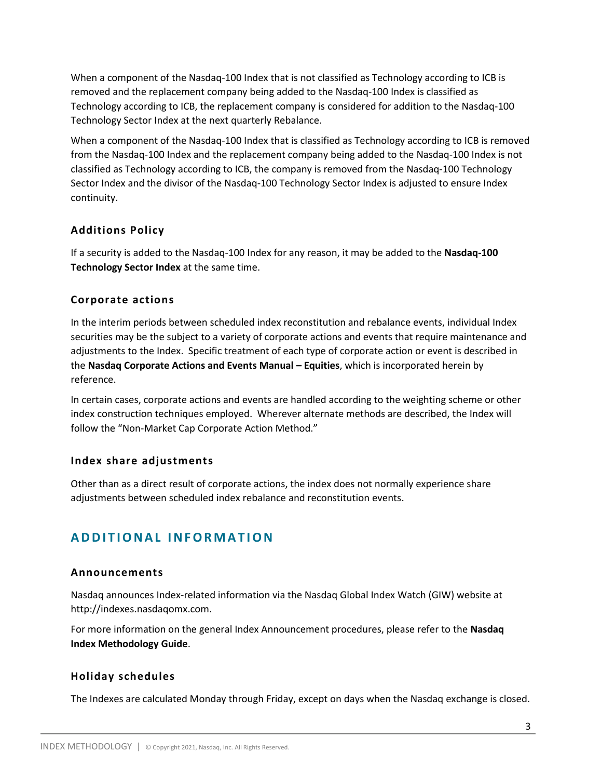When a component of the Nasdaq-100 Index that is not classified as Technology according to ICB is removed and the replacement company being added to the Nasdaq-100 Index is classified as Technology according to ICB, the replacement company is considered for addition to the Nasdaq-100 Technology Sector Index at the next quarterly Rebalance.

When a component of the Nasdaq-100 Index that is classified as Technology according to ICB is removed from the Nasdaq-100 Index and the replacement company being added to the Nasdaq-100 Index is not classified as Technology according to ICB, the company is removed from the Nasdaq-100 Technology Sector Index and the divisor of the Nasdaq-100 Technology Sector Index is adjusted to ensure Index continuity.

## **Additions Policy**

If a security is added to the Nasdaq-100 Index for any reason, it may be added to the **Nasdaq-100 Technology Sector Index** at the same time.

## **Corporate actions**

In the interim periods between scheduled index reconstitution and rebalance events, individual Index securities may be the subject to a variety of corporate actions and events that require maintenance and adjustments to the Index. Specific treatment of each type of corporate action or event is described in the **Nasdaq Corporate Actions and Events Manual – Equities**, which is incorporated herein by reference.

In certain cases, corporate actions and events are handled according to the weighting scheme or other index construction techniques employed. Wherever alternate methods are described, the Index will follow the "Non-Market Cap Corporate Action Method."

## **Index share adjustments**

Other than as a direct result of corporate actions, the index does not normally experience share adjustments between scheduled index rebalance and reconstitution events.

## **A D D I T I O N A L I N F O R M A T I O N**

## **Announcements**

Nasdaq announces Index-related information via the Nasdaq Global Index Watch (GIW) website at http://indexes.nasdaqomx.com.

For more information on the general Index Announcement procedures, please refer to the **Nasdaq Index Methodology Guide**.

## **Holiday schedules**

The Indexes are calculated Monday through Friday, except on days when the Nasdaq exchange is closed.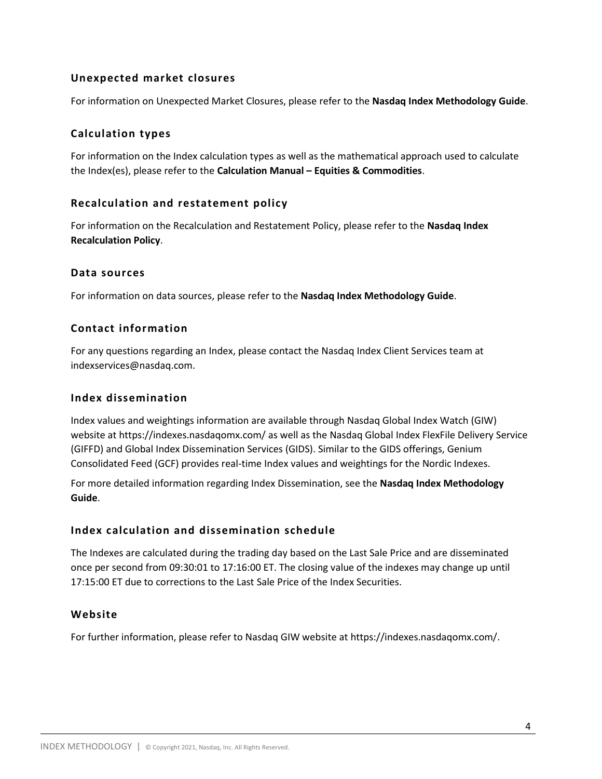## **Unexpected market closures**

For information on Unexpected Market Closures, please refer to the **Nasdaq Index Methodology Guide**.

## **Calculation types**

For information on the Index calculation types as well as the mathematical approach used to calculate the Index(es), please refer to the **Calculation Manual – Equities & Commodities**.

## **Recalculation and restatement policy**

For information on the Recalculation and Restatement Policy, please refer to the **Nasdaq Index Recalculation Policy**.

## **Data sources**

For information on data sources, please refer to the **Nasdaq Index Methodology Guide**.

## **Contact information**

For any questions regarding an Index, please contact the Nasdaq Index Client Services team at indexservices@nasdaq.com.

## **Index dissemination**

Index values and weightings information are available through Nasdaq Global Index Watch (GIW) website at https://indexes.nasdaqomx.com/ as well as the Nasdaq Global Index FlexFile Delivery Service (GIFFD) and Global Index Dissemination Services (GIDS). Similar to the GIDS offerings, Genium Consolidated Feed (GCF) provides real-time Index values and weightings for the Nordic Indexes.

For more detailed information regarding Index Dissemination, see the **Nasdaq Index Methodology Guide**.

## **Index calculation and dissemination schedule**

The Indexes are calculated during the trading day based on the Last Sale Price and are disseminated once per second from 09:30:01 to 17:16:00 ET. The closing value of the indexes may change up until 17:15:00 ET due to corrections to the Last Sale Price of the Index Securities.

## **Website**

For further information, please refer to Nasdaq GIW website at https://indexes.nasdaqomx.com/.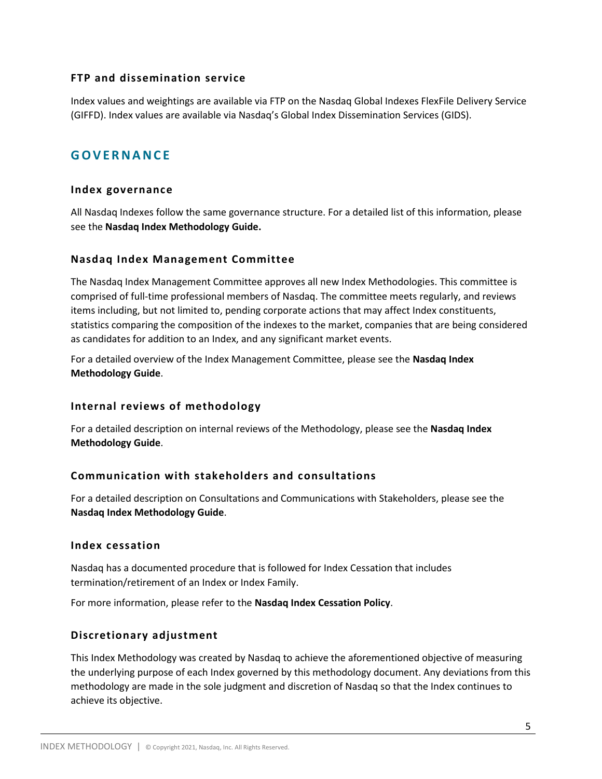#### **FTP and dissemination service**

Index values and weightings are available via FTP on the Nasdaq Global Indexes FlexFile Delivery Service (GIFFD). Index values are available via Nasdaq's Global Index Dissemination Services (GIDS).

## **G O V E R N A N C E**

#### **Index governance**

All Nasdaq Indexes follow the same governance structure. For a detailed list of this information, please see the **Nasdaq Index Methodology Guide.**

#### **Nasdaq Index Management Committee**

The Nasdaq Index Management Committee approves all new Index Methodologies. This committee is comprised of full-time professional members of Nasdaq. The committee meets regularly, and reviews items including, but not limited to, pending corporate actions that may affect Index constituents, statistics comparing the composition of the indexes to the market, companies that are being considered as candidates for addition to an Index, and any significant market events.

For a detailed overview of the Index Management Committee, please see the **Nasdaq Index Methodology Guide**.

## **Internal reviews of methodology**

For a detailed description on internal reviews of the Methodology, please see the **Nasdaq Index Methodology Guide**.

## **Communication with stakeholders and consultations**

For a detailed description on Consultations and Communications with Stakeholders, please see the **Nasdaq Index Methodology Guide**.

#### **Index cessation**

Nasdaq has a documented procedure that is followed for Index Cessation that includes termination/retirement of an Index or Index Family.

For more information, please refer to the **Nasdaq Index Cessation Policy**.

## **Discretionary adjustment**

This Index Methodology was created by Nasdaq to achieve the aforementioned objective of measuring the underlying purpose of each Index governed by this methodology document. Any deviations from this methodology are made in the sole judgment and discretion of Nasdaq so that the Index continues to achieve its objective.